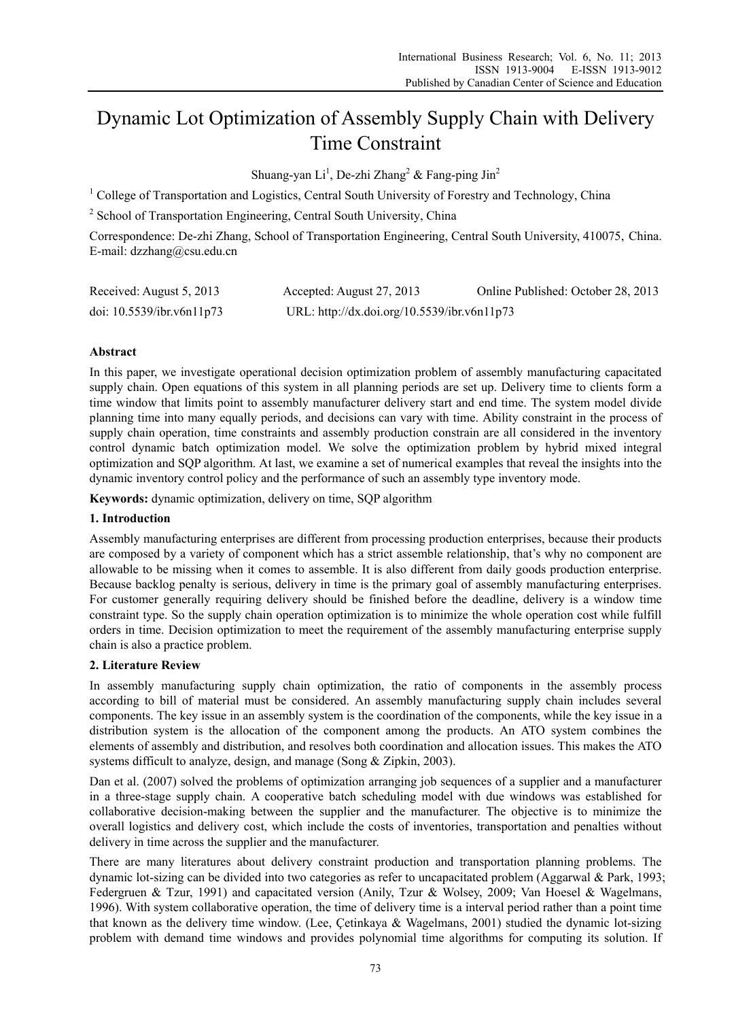# Dynamic Lot Optimization of Assembly Supply Chain with Delivery Time Constraint

Shuang-yan Li<sup>1</sup>, De-zhi Zhang<sup>2</sup> & Fang-ping Jin<sup>2</sup>

<sup>1</sup> College of Transportation and Logistics, Central South University of Forestry and Technology, China

<sup>2</sup> School of Transportation Engineering, Central South University, China

Correspondence: De-zhi Zhang, School of Transportation Engineering, Central South University, 410075, China. E-mail: dzzhang@csu.edu.cn

| Received: August 5, 2013     | Accepted: August 27, 2013                   | Online Published: October 28, 2013 |
|------------------------------|---------------------------------------------|------------------------------------|
| doi: $10.5539$ /ibr.v6n11p73 | URL: http://dx.doi.org/10.5539/ibr.v6n11p73 |                                    |

# **Abstract**

In this paper, we investigate operational decision optimization problem of assembly manufacturing capacitated supply chain. Open equations of this system in all planning periods are set up. Delivery time to clients form a time window that limits point to assembly manufacturer delivery start and end time. The system model divide planning time into many equally periods, and decisions can vary with time. Ability constraint in the process of supply chain operation, time constraints and assembly production constrain are all considered in the inventory control dynamic batch optimization model. We solve the optimization problem by hybrid mixed integral optimization and SQP algorithm. At last, we examine a set of numerical examples that reveal the insights into the dynamic inventory control policy and the performance of such an assembly type inventory mode.

**Keywords:** dynamic optimization, delivery on time, SQP algorithm

## **1. Introduction**

Assembly manufacturing enterprises are different from processing production enterprises, because their products are composed by a variety of component which has a strict assemble relationship, that's why no component are allowable to be missing when it comes to assemble. It is also different from daily goods production enterprise. Because backlog penalty is serious, delivery in time is the primary goal of assembly manufacturing enterprises. For customer generally requiring delivery should be finished before the deadline, delivery is a window time constraint type. So the supply chain operation optimization is to minimize the whole operation cost while fulfill orders in time. Decision optimization to meet the requirement of the assembly manufacturing enterprise supply chain is also a practice problem.

# **2. Literature Review**

In assembly manufacturing supply chain optimization, the ratio of components in the assembly process according to bill of material must be considered. An assembly manufacturing supply chain includes several components. The key issue in an assembly system is the coordination of the components, while the key issue in a distribution system is the allocation of the component among the products. An ATO system combines the elements of assembly and distribution, and resolves both coordination and allocation issues. This makes the ATO systems difficult to analyze, design, and manage (Song & Zipkin, 2003).

Dan et al. (2007) solved the problems of optimization arranging job sequences of a supplier and a manufacturer in a three-stage supply chain. A cooperative batch scheduling model with due windows was established for collaborative decision-making between the supplier and the manufacturer. The objective is to minimize the overall logistics and delivery cost, which include the costs of inventories, transportation and penalties without delivery in time across the supplier and the manufacturer.

There are many literatures about delivery constraint production and transportation planning problems. The dynamic lot-sizing can be divided into two categories as refer to uncapacitated problem (Aggarwal & Park, 1993; Federgruen & Tzur, 1991) and capacitated version (Anily, Tzur & Wolsey, 2009; Van Hoesel & Wagelmans, 1996). With system collaborative operation, the time of delivery time is a interval period rather than a point time that known as the delivery time window. (Lee, Çetinkaya & Wagelmans, 2001) studied the dynamic lot-sizing problem with demand time windows and provides polynomial time algorithms for computing its solution. If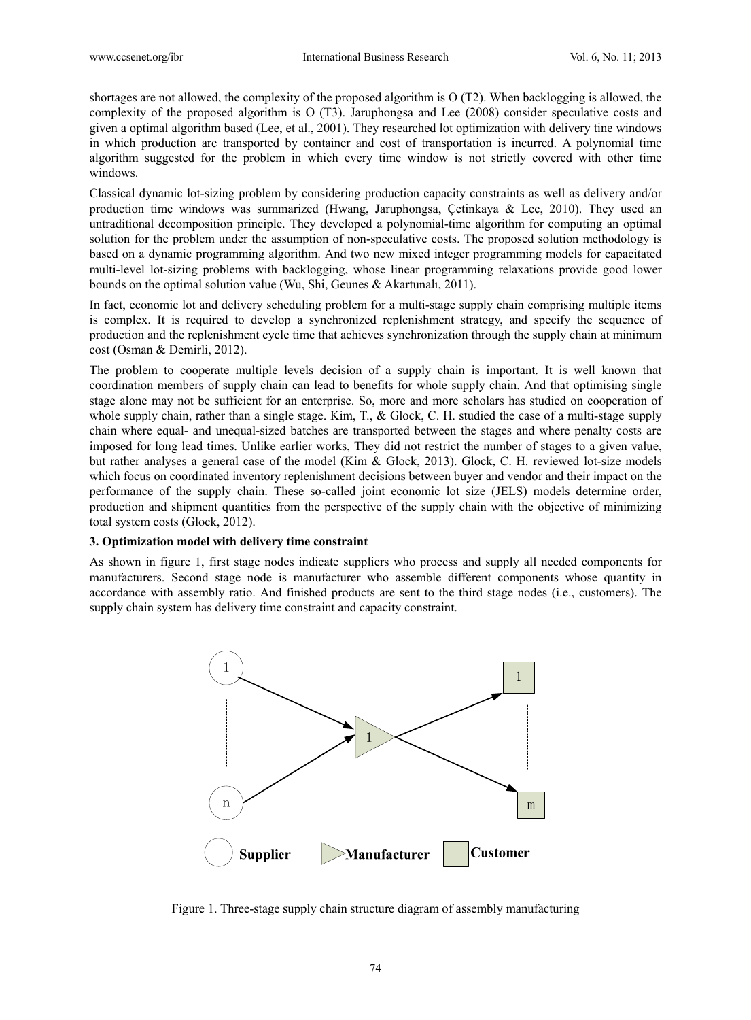shortages are not allowed, the complexity of the proposed algorithm is O (T2). When backlogging is allowed, the complexity of the proposed algorithm is O (T3). Jaruphongsa and Lee (2008) consider speculative costs and given a optimal algorithm based (Lee, et al., 2001). They researched lot optimization with delivery tine windows in which production are transported by container and cost of transportation is incurred. A polynomial time algorithm suggested for the problem in which every time window is not strictly covered with other time windows.

Classical dynamic lot-sizing problem by considering production capacity constraints as well as delivery and/or production time windows was summarized (Hwang, Jaruphongsa, Çetinkaya & Lee, 2010). They used an untraditional decomposition principle. They developed a polynomial-time algorithm for computing an optimal solution for the problem under the assumption of non-speculative costs. The proposed solution methodology is based on a dynamic programming algorithm. And two new mixed integer programming models for capacitated multi-level lot-sizing problems with backlogging, whose linear programming relaxations provide good lower bounds on the optimal solution value (Wu, Shi, Geunes & Akartunalı, 2011).

In fact, economic lot and delivery scheduling problem for a multi-stage supply chain comprising multiple items is complex. It is required to develop a synchronized replenishment strategy, and specify the sequence of production and the replenishment cycle time that achieves synchronization through the supply chain at minimum cost (Osman & Demirli, 2012).

The problem to cooperate multiple levels decision of a supply chain is important. It is well known that coordination members of supply chain can lead to benefits for whole supply chain. And that optimising single stage alone may not be sufficient for an enterprise. So, more and more scholars has studied on cooperation of whole supply chain, rather than a single stage. Kim, T., & Glock, C. H. studied the case of a multi-stage supply chain where equal- and unequal-sized batches are transported between the stages and where penalty costs are imposed for long lead times. Unlike earlier works, They did not restrict the number of stages to a given value, but rather analyses a general case of the model (Kim & Glock, 2013). Glock, C. H. reviewed lot-size models which focus on coordinated inventory replenishment decisions between buyer and vendor and their impact on the performance of the supply chain. These so-called joint economic lot size (JELS) models determine order, production and shipment quantities from the perspective of the supply chain with the objective of minimizing total system costs (Glock, 2012).

# **3. Optimization model with delivery time constraint**

As shown in figure 1, first stage nodes indicate suppliers who process and supply all needed components for manufacturers. Second stage node is manufacturer who assemble different components whose quantity in accordance with assembly ratio. And finished products are sent to the third stage nodes (i.e., customers). The supply chain system has delivery time constraint and capacity constraint.



Figure 1. Three-stage supply chain structure diagram of assembly manufacturing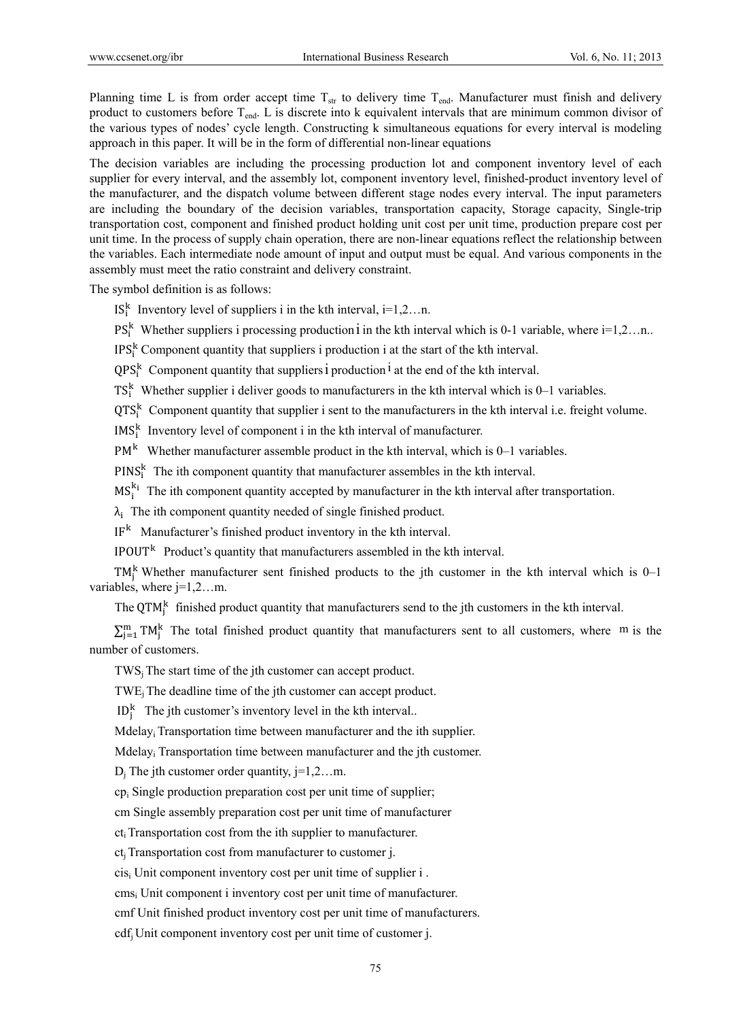Planning time L is from order accept time  $T_{str}$  to delivery time  $T_{end}$ . Manufacturer must finish and delivery product to customers before Tend. L is discrete into k equivalent intervals that are minimum common divisor of the various types of nodes' cycle length. Constructing k simultaneous equations for every interval is modeling approach in this paper. It will be in the form of differential non-linear equations

The decision variables are including the processing production lot and component inventory level of each supplier for every interval, and the assembly lot, component inventory level, finished-product inventory level of the manufacturer, and the dispatch volume between different stage nodes every interval. The input parameters are including the boundary of the decision variables, transportation capacity, Storage capacity, Single-trip transportation cost, component and finished product holding unit cost per unit time, production prepare cost per unit time. In the process of supply chain operation, there are non-linear equations reflect the relationship between the variables. Each intermediate node amount of input and output must be equal. And various components in the assembly must meet the ratio constraint and delivery constraint.

The symbol definition is as follows:

- $IS_i^k$  Inventory level of suppliers i in the kth interval,  $i=1,2...n$ .
- $PS<sub>i</sub><sup>k</sup>$  Whether suppliers i processing production i in the kth interval which is 0-1 variable, where i=1,2...n..
- $IPS<sub>i</sub><sup>k</sup>$  Component quantity that suppliers i production i at the start of the kth interval.
- $QPS_i^k$  Component quantity that suppliers i production <sup>i</sup> at the end of the kth interval.
- $TS_i^k$  Whether supplier i deliver goods to manufacturers in the kth interval which is  $0-1$  variables.
- $QTS_i^k$  Component quantity that supplier i sent to the manufacturers in the kth interval i.e. freight volume.
- $IMS<sub>i</sub><sup>k</sup>$  Inventory level of component i in the kth interval of manufacturer.
- $PM<sup>k</sup>$  Whether manufacturer assemble product in the kth interval, which is 0–1 variables.
- $PINS<sub>i</sub><sup>k</sup>$  The ith component quantity that manufacturer assembles in the kth interval.
- $MS<sub>i</sub><sup>k<sub>i</sub></sup>$  The ith component quantity accepted by manufacturer in the kth interval after transportation.
- $\lambda_i$  The ith component quantity needed of single finished product.
- $IF<sup>k</sup>$  Manufacturer's finished product inventory in the kth interval.
- $IPOUT<sup>k</sup>$  Product's quantity that manufacturers assembled in the kth interval.
- TM<sup>k</sup> Whether manufacturer sent finished products to the jth customer in the kth interval which is  $0-1$ variables, where  $j=1,2...m$ .
	- The  $QTM_j^k$  finished product quantity that manufacturers send to the jth customers in the kth interval.

 $\sum_{j=1}^{m} TM_j^k$  The total finished product quantity that manufacturers sent to all customers, where m is the number of customers.

TWS<sub>i</sub> The start time of the jth customer can accept product.

TWEj The deadline time of the jth customer can accept product.

 $ID_j^k$  The jth customer's inventory level in the kth interval..

Mdelayi Transportation time between manufacturer and the ith supplier.

Mdelayi Transportation time between manufacturer and the jth customer.

 $D_i$ ; The jth customer order quantity,  $j=1,2...m$ .

cpi Single production preparation cost per unit time of supplier;

cm Single assembly preparation cost per unit time of manufacturer

cti Transportation cost from the ith supplier to manufacturer.

ctj Transportation cost from manufacturer to customer j.

cisi Unit component inventory cost per unit time of supplier i .

cmsi Unit component i inventory cost per unit time of manufacturer.

cmf Unit finished product inventory cost per unit time of manufacturers.

cdfj Unit component inventory cost per unit time of customer j.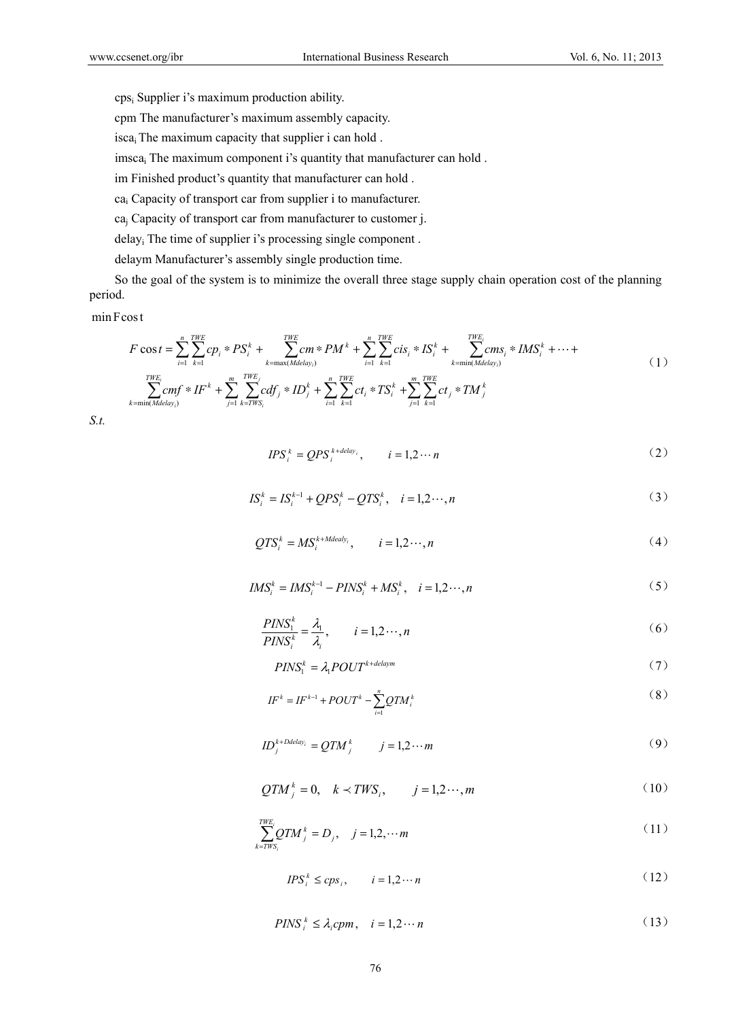cpsi Supplier i's maximum production ability.

cpm The manufacturer's maximum assembly capacity.

isca<sub>i</sub> The maximum capacity that supplier i can hold.

imsca<sub>i</sub> The maximum component i's quantity that manufacturer can hold .

im Finished product's quantity that manufacturer can hold .

cai Capacity of transport car from supplier i to manufacturer.

caj Capacity of transport car from manufacturer to customer j.

delayi The time of supplier i's processing single component .

delaym Manufacturer's assembly single production time.

So the goal of the system is to minimize the overall three stage supply chain operation cost of the planning period.

minFcost

$$
F \cos t = \sum_{i=1}^{n} \sum_{k=1}^{TWE} cp_i * PS_i^k + \sum_{k=\max(Mdelary_i)}^{TWE} cm * PM^k + \sum_{i=1}^{n} \sum_{k=1}^{TWE} cis_i * IS_i^k + \sum_{k=\min(Mdelary_i)}^{TWE_i} cm s_i * IMS_i^k + \cdots + \sum_{k=\min(Mdelary_i)}^{TWE_i} cm f * IF^k + \sum_{j=1}^{n} \sum_{k=1}^{TWE_j} c df_j * ID_j^k + \sum_{i=1}^{n} \sum_{k=1}^{TWE_i} ct_i * TS_i^k + \sum_{j=1}^{n} \sum_{k=1}^{TWE_i} ct_j * TM_j^k
$$
\n(1)

*S.t.* 

$$
IPS_i^k = QPS_i^{k + delay_i}, \qquad i = 1, 2 \cdots n \tag{2}
$$

$$
IS_i^k = IS_i^{k-1} + QPS_i^k - QTS_i^k, \quad i = 1, 2 \cdots, n
$$
 (3)

$$
QTS_i^k = MS_i^{k+Mdeaby_i}, \qquad i = 1, 2 \cdots, n
$$
\n<sup>(4)</sup>

$$
IMS_i^k = IMS_i^{k-1} - PINS_i^k + MS_i^k, \quad i = 1, 2 \cdots, n
$$
\n
$$
\tag{5}
$$

$$
\frac{PINS_i^k}{PINS_i^k} = \frac{\lambda_1}{\lambda_i}, \qquad i = 1, 2 \cdots, n
$$
\n(6)

$$
PINS_1^k = \lambda_1 POUT^{k+delaym} \tag{7}
$$

$$
IF^{k} = IF^{k-1} + POUT^{k} - \sum_{i=1}^{n} QTM_{i}^{k}
$$
 (8)

$$
ID_j^{k+Ddelay_i} = QTM_j^k \qquad j = 1, 2 \cdots m \tag{9}
$$

$$
QTM_j^k = 0, \quad k \prec TWS_i, \qquad j = 1, 2 \cdots, m \tag{10}
$$

$$
\sum_{k=TWS_i}^{TWE_i} QTM_j^k = D_j, \quad j = 1, 2, \cdots m
$$
\n(11)

 $IPS_i^k \le cps_i, \qquad i = 1, 2 \cdots n$  (12)

 $PINS_i^k \leq \lambda_i cpm, \quad i = 1, 2 \cdots n$ (13)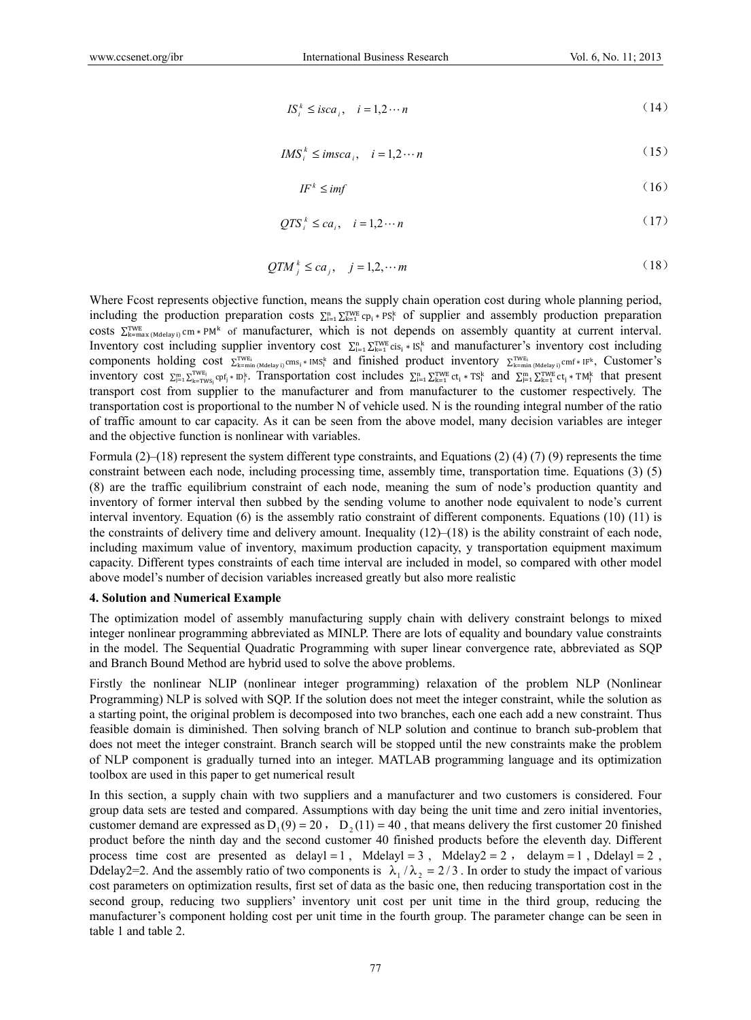$$
IS_i^k \leq isca_i, \quad i = 1, 2 \cdots n \tag{14}
$$

$$
IMS_i^k \leq imsca_i, \quad i = 1, 2 \cdots n \tag{15}
$$

$$
IF^k \le \inf \tag{16}
$$

$$
QTS_i^k \le ca_i, \quad i = 1, 2 \cdots n \tag{17}
$$

$$
QTM_j^k \le ca_j, \quad j = 1, 2, \cdots m \tag{18}
$$

Where Fcost represents objective function, means the supply chain operation cost during whole planning period, including the production preparation costs  $\Sigma_{i=1}^n \Sigma_{k=1}^{w}$   $cp_i * PS_i^k$  of supplier and assembly production preparation costs  $\Sigma_{\text{K=max (Mdelay) i}}^{\text{TWE}}$  of manufacturer, which is not depends on assembly quantity at current interval. Inventory cost including supplier inventory cost  $\sum_{i=1}^{n} \sum_{k=1}^{TWE} cis_i * IS_i^k$  and manufacturer's inventory cost including components holding cost  $\Sigma_{k=\min(Molelay i)}^{\text{TWE}_i}$  cms<sub>i</sub> \* IMS<sup>k</sup> and finished product inventory  $\Sigma_{k=\min(Melelay i)}^{\text{TWE}_i}$  cmf \* IF<sup>k</sup>, Customer's inventory cost  $\Sigma_{j=1}^m \Sigma_{k=TwS_j}^{TWE}$  cpf<sub>j</sub> \* ID<sup>k</sup>. Transportation cost includes  $\Sigma_{i=1}^n \Sigma_{k=1}^{TWE}$  ct<sub>i</sub> \* TS<sup>k</sup> and  $\Sigma_{j=1}^m \Sigma_{k=1}^{TWE}$  ct<sub>j</sub> \* TM<sub>j</sub><sup>k</sup> that present transport cost from supplier to the manufacturer and from manufacturer to the customer respectively. The transportation cost is proportional to the number N of vehicle used. N is the rounding integral number of the ratio of traffic amount to car capacity. As it can be seen from the above model, many decision variables are integer and the objective function is nonlinear with variables.

Formula (2)–(18) represent the system different type constraints, and Equations (2) (4) (7) (9) represents the time constraint between each node, including processing time, assembly time, transportation time. Equations (3) (5) (8) are the traffic equilibrium constraint of each node, meaning the sum of node's production quantity and inventory of former interval then subbed by the sending volume to another node equivalent to node's current interval inventory. Equation (6) is the assembly ratio constraint of different components. Equations (10) (11) is the constraints of delivery time and delivery amount. Inequality  $(12)$ – $(18)$  is the ability constraint of each node, including maximum value of inventory, maximum production capacity, y transportation equipment maximum capacity. Different types constraints of each time interval are included in model, so compared with other model above model's number of decision variables increased greatly but also more realistic

#### **4. Solution and Numerical Example**

The optimization model of assembly manufacturing supply chain with delivery constraint belongs to mixed integer nonlinear programming abbreviated as MINLP. There are lots of equality and boundary value constraints in the model. The Sequential Quadratic Programming with super linear convergence rate, abbreviated as SQP and Branch Bound Method are hybrid used to solve the above problems.

Firstly the nonlinear NLIP (nonlinear integer programming) relaxation of the problem NLP (Nonlinear Programming) NLP is solved with SQP. If the solution does not meet the integer constraint, while the solution as a starting point, the original problem is decomposed into two branches, each one each add a new constraint. Thus feasible domain is diminished. Then solving branch of NLP solution and continue to branch sub-problem that does not meet the integer constraint. Branch search will be stopped until the new constraints make the problem of NLP component is gradually turned into an integer. MATLAB programming language and its optimization toolbox are used in this paper to get numerical result

In this section, a supply chain with two suppliers and a manufacturer and two customers is considered. Four group data sets are tested and compared. Assumptions with day being the unit time and zero initial inventories, customer demand are expressed as  $D_1(9) = 20$ ,  $D_2(11) = 40$ , that means delivery the first customer 20 finished product before the ninth day and the second customer 40 finished products before the eleventh day. Different process time cost are presented as delayl = 1, Mdelayl = 3, Mdelay2 = 2, delaym = 1, Ddelayl = 2, Ddelay2=2. And the assembly ratio of two components is  $\lambda_1/\lambda_2 = 2/3$ . In order to study the impact of various cost parameters on optimization results, first set of data as the basic one, then reducing transportation cost in the second group, reducing two suppliers' inventory unit cost per unit time in the third group, reducing the manufacturer's component holding cost per unit time in the fourth group. The parameter change can be seen in table 1 and table 2.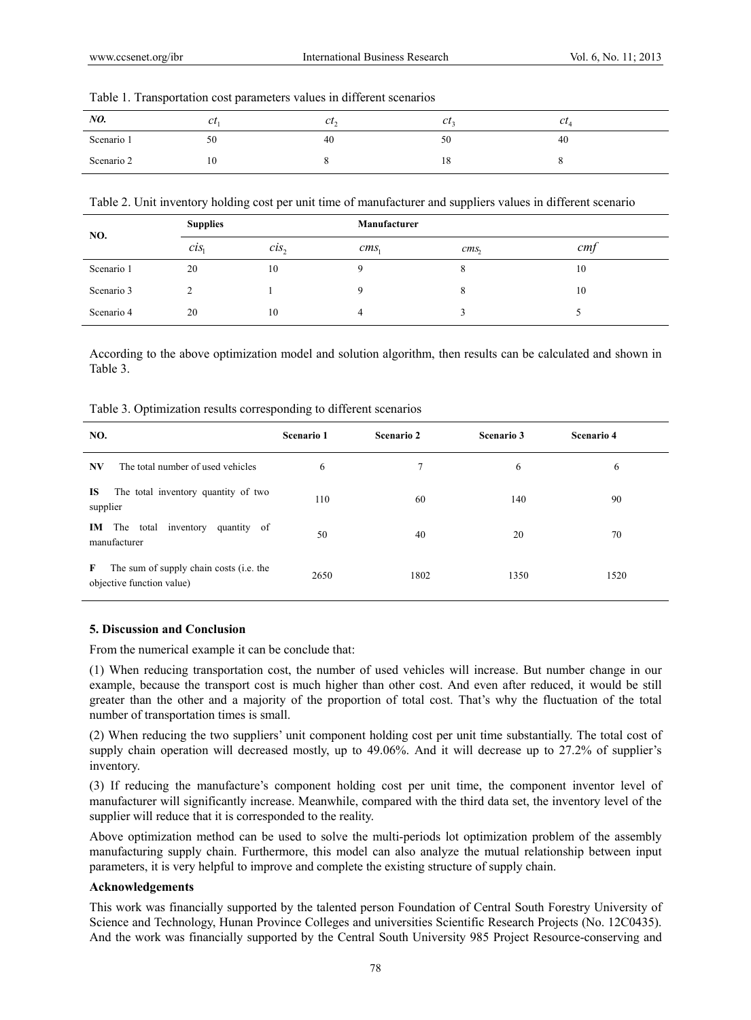| Table 1. Transportation cost parameters values in different scenarios |  |  |  |
|-----------------------------------------------------------------------|--|--|--|
|                                                                       |  |  |  |
|                                                                       |  |  |  |

| NO.        | ct | $\mathfrak{c}$ | ct | $\mathbf{u}$ |
|------------|----|----------------|----|--------------|
| Scenario 1 | 50 | 40             | 50 | 40           |
| Scenario 2 | 10 |                | 18 |              |

Table 2. Unit inventory holding cost per unit time of manufacturer and suppliers values in different scenario

| NO.        | <b>Supplies</b> |                   | Manufacturer     |         |            |
|------------|-----------------|-------------------|------------------|---------|------------|
|            | $cis_1$         | $\mathcal{C}$ is, | cmS <sub>1</sub> | cmS     | <i>cmt</i> |
| Scenario 1 | 20              | 10                |                  | $\circ$ | 10         |
| Scenario 3 | ◠               |                   |                  | ŏ       | 10         |
| Scenario 4 | 20              | 10                |                  |         |            |

According to the above optimization model and solution algorithm, then results can be calculated and shown in Table 3.

Table 3. Optimization results corresponding to different scenarios

| NO.                                                                       | Scenario 1 | Scenario 2 | Scenario 3 | <b>Scenario 4</b> |
|---------------------------------------------------------------------------|------------|------------|------------|-------------------|
| N V<br>The total number of used vehicles                                  | 6          | 7          | 6          | 6                 |
| <b>IS</b><br>The total inventory quantity of two<br>supplier              | 110        | 60         | 140        | 90                |
| The<br>IM<br>inventory<br>quantity of<br>total<br>manufacturer            | 50         | 40         | 20         | 70                |
| The sum of supply chain costs (i.e. the<br>F<br>objective function value) | 2650       | 1802       | 1350       | 1520              |

#### **5. Discussion and Conclusion**

From the numerical example it can be conclude that:

(1) When reducing transportation cost, the number of used vehicles will increase. But number change in our example, because the transport cost is much higher than other cost. And even after reduced, it would be still greater than the other and a majority of the proportion of total cost. That's why the fluctuation of the total number of transportation times is small.

(2) When reducing the two suppliers' unit component holding cost per unit time substantially. The total cost of supply chain operation will decreased mostly, up to 49.06%. And it will decrease up to 27.2% of supplier's inventory.

(3) If reducing the manufacture's component holding cost per unit time, the component inventor level of manufacturer will significantly increase. Meanwhile, compared with the third data set, the inventory level of the supplier will reduce that it is corresponded to the reality.

Above optimization method can be used to solve the multi-periods lot optimization problem of the assembly manufacturing supply chain. Furthermore, this model can also analyze the mutual relationship between input parameters, it is very helpful to improve and complete the existing structure of supply chain.

#### **Acknowledgements**

This work was financially supported by the talented person Foundation of Central South Forestry University of Science and Technology, Hunan Province Colleges and universities Scientific Research Projects (No. 12C0435). And the work was financially supported by the Central South University 985 Project Resource-conserving and